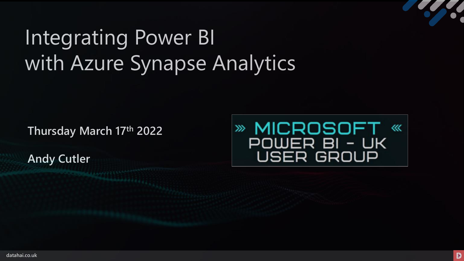# Integrating Power BI with Azure Synapse Analytics

**Thursday March 17th 2022**

**Andy Cutler**

» MICROSOFT « POWER BI - UK<br>USER GROUP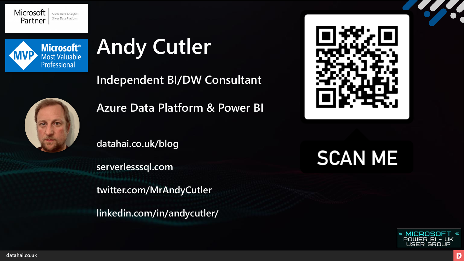



# **Andy Cutler**

**Independent BI/DW Consultant**



**Azure Data Platform & Power BI**

**datahai.co.uk/blog**

**serverlesssql.com**

**twitter.com/MrAndyCutler**

**linkedin.com/in/andycutler/**



**SCAN ME** 



**datahai.co.uk**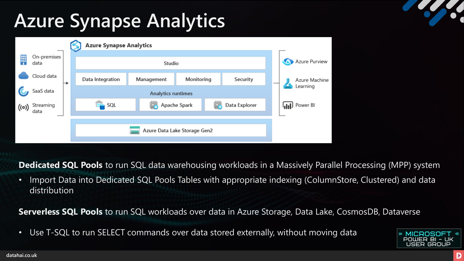# **Azure Synapse Analytics**



**Dedicated SQL Pools** to run SQL data warehousing workloads in a Massively Parallel Processing (MPP) system

• Import Data into Dedicated SQL Pools Tables with appropriate indexing (ColumnStore, Clustered) and data distribution

**Serverless SQL Pools** to run SQL workloads over data in Azure Storage, Data Lake, CosmosDB, Dataverse

• Use T-SQL to run SELECT commands over data stored externally, without moving data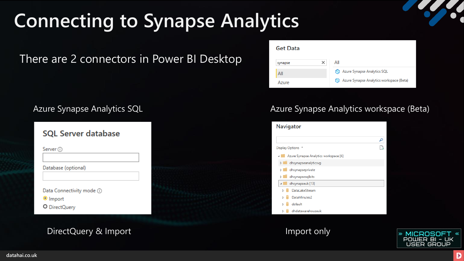# **Connecting to Synapse Analytics**

There are 2 connectors in Power BI Desktop

| <b>SQL Server database</b>     |  |
|--------------------------------|--|
| Server $\odot$                 |  |
|                                |  |
| Database (optional)            |  |
|                                |  |
| Data Connectivity mode $\odot$ |  |
| O Import                       |  |
| O DirectQuery                  |  |

## DirectQuery & Import

| <b>Get Data</b> |                                          |
|-----------------|------------------------------------------|
| synapse         | All                                      |
| All             | Azure Synapse Analytics SQL              |
| Azure           | Azure Synapse Analytics workspace (Beta) |

### Azure Synapse Analytics SQL **Azure Synapse Analytics workspace (Beta)**



Import only

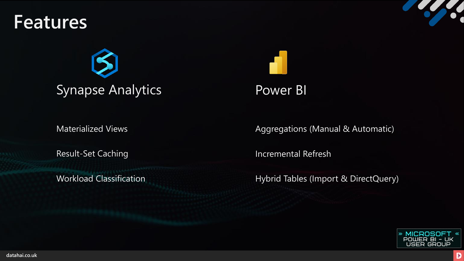## **Features**





## Power BI

Materialized Views

Result-Set Caching

Aggregations (Manual & Automatic)

Incremental Refresh

Workload Classification **Music Classification** Hybrid Tables (Import & DirectQuery)

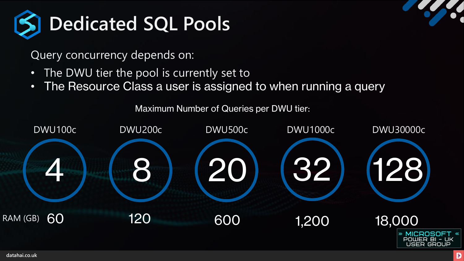

Query concurrency depends on:

- The DWU tier the pool is currently set to
- The Resource Class a user is assigned to when running a query

Maximum Number of Queries per DWU tier:

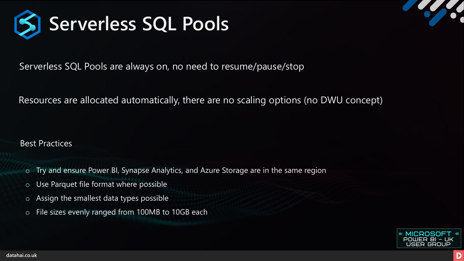

Serverless SQL Pools are always on, no need to resume/pause/stop

Resources are allocated automatically, there are no scaling options (no DWU concept)

Best Practices

- o Try and ensure Power BI, Synapse Analytics, and Azure Storage are in the same region
- o Use Parquet file format where possible
- o Assign the smallest data types possible
- o File sizes evenly ranged from 100MB to 10GB each

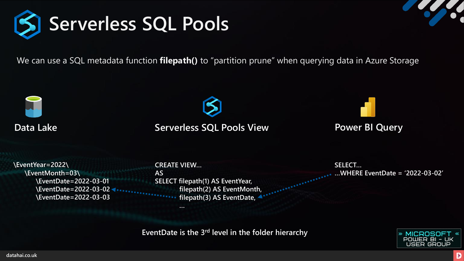

We can use a SQL metadata function **filepath()** to "partition prune" when querying data in Azure Storage



## **Data Lake Serverless SQL Pools View**

**Power BI Query**

**\EventYear=2022\ \EventMonth=03\ \EventDate=2022-03-01 \EventDate=2022-03-02 \EventDate=2022-03-03**  **CREATE VIEW… AS SELECT filepath(1) AS EventYear, filepath(2) AS EventMonth, filepath(3) AS EventDate, …**

**SELECT… …WHERE EventDate = '2022-03-02'**

**EventDate is the 3rd level in the folder hierarchy**

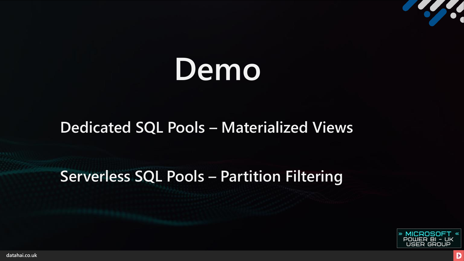# **Demo**

## **Dedicated SQL Pools – Materialized Views**

## **Serverless SQL Pools – Partition Filtering**



**El Contrador de la Carde** 

**datahai.co.uk**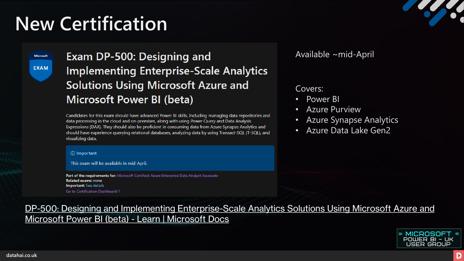# **New Certification**

Microsoft **EXAM** 

## Exam DP-500: Designing and **Implementing Enterprise-Scale Analytics Solutions Using Microsoft Azure and Microsoft Power BI (beta)**

Candidates for this exam should have advanced Power BI skills, including managing data repositories and data processing in the cloud and on-premises, along with using Power Query and Data Analysis Expressions (DAX). They should also be proficient in consuming data from Azure Synapse Analytics and should have experience querying relational databases, analyzing data by using Transact-SQL (T-SQL), and visualizing data.

### (i) Important

This exam will be available in mid-April.

Part of the requirements for: Microsoft Certified: Azure Enterprise Data Analyst Associate **Related exams: none Important:** See details Go to Certification Dashboard

### Available ~mid-April

### Covers:

- Power BI
- **Azure Purview**
- Azure Synapse Analytics
- Azure Data Lake Gen2

[DP-500: Designing and Implementing Enterprise-Scale Analytics Solutions Using Microsoft Azure and](https://docs.microsoft.com/en-us/learn/certifications/exams/dp-500) Microsoft Power BI (beta) - Learn | Microsoft Docs